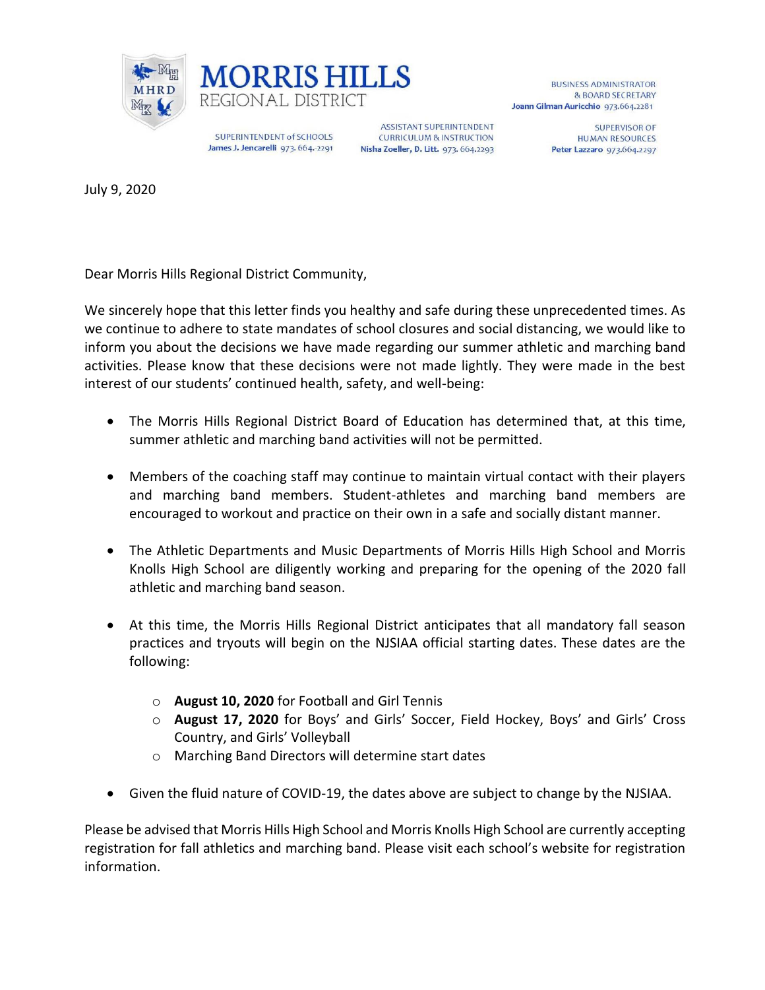



SUPERINTENDENT of SCHOOLS James J. Jencarelli 973. 664.-2291

**ASSISTANT SUPERINTENDENT CURRICULUM & INSTRUCTION** Nisha Zoeller, D. Litt. 973. 664.2293

**BUSINESS ADMINISTRATOR** & BOARD SECRETARY Joann Gilman Auricchio 973.664.2281

> **SUPERVISOR OF HUMAN RESOURCES** Peter Lazzaro 973.664.2297

July 9, 2020

Dear Morris Hills Regional District Community,

We sincerely hope that this letter finds you healthy and safe during these unprecedented times. As we continue to adhere to state mandates of school closures and social distancing, we would like to inform you about the decisions we have made regarding our summer athletic and marching band activities. Please know that these decisions were not made lightly. They were made in the best interest of our students' continued health, safety, and well-being:

- The Morris Hills Regional District Board of Education has determined that, at this time, summer athletic and marching band activities will not be permitted.
- Members of the coaching staff may continue to maintain virtual contact with their players and marching band members. Student-athletes and marching band members are encouraged to workout and practice on their own in a safe and socially distant manner.
- The Athletic Departments and Music Departments of Morris Hills High School and Morris Knolls High School are diligently working and preparing for the opening of the 2020 fall athletic and marching band season.
- At this time, the Morris Hills Regional District anticipates that all mandatory fall season practices and tryouts will begin on the NJSIAA official starting dates. These dates are the following:
	- o **August 10, 2020** for Football and Girl Tennis
	- o **August 17, 2020** for Boys' and Girls' Soccer, Field Hockey, Boys' and Girls' Cross Country, and Girls' Volleyball
	- o Marching Band Directors will determine start dates
- Given the fluid nature of COVID-19, the dates above are subject to change by the NJSIAA.

Please be advised that Morris Hills High School and Morris Knolls High School are currently accepting registration for fall athletics and marching band. Please visit each school's website for registration information.